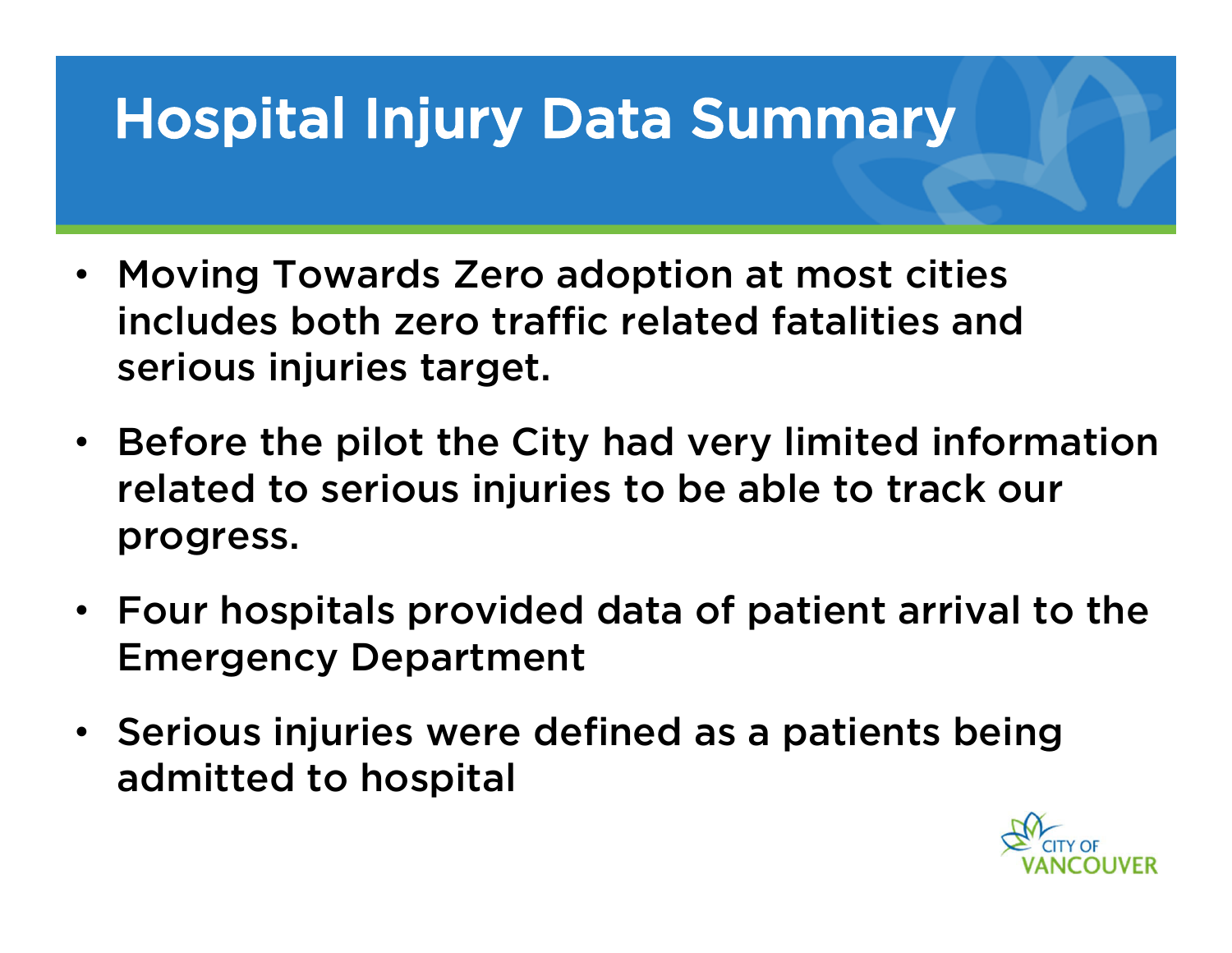- Moving Towards Zero adoption at most cities includes both zero traffic related fatalities and serious injuries target.
- Before the pilot the City had very limited information related to serious injuries to be able to track our progress.
- Four hospitals provided data of patient arrival to the Emergency Department
- Serious injuries were defined as a patients being admitted to hospital

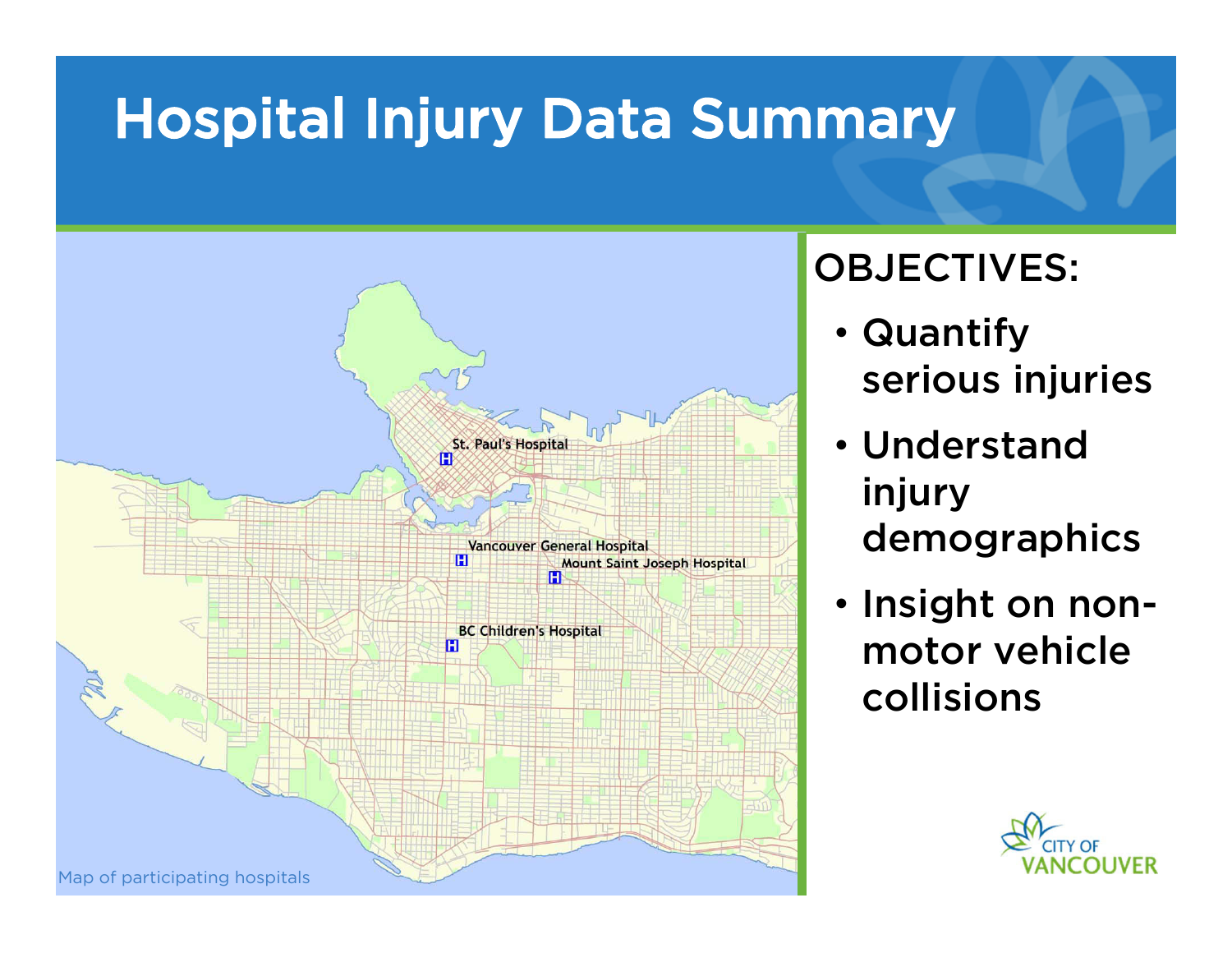

#### OBJECTIVES:

- Quantify serious injuries
- Understand injury demographics
- Insight on nonmotor vehicle collisions

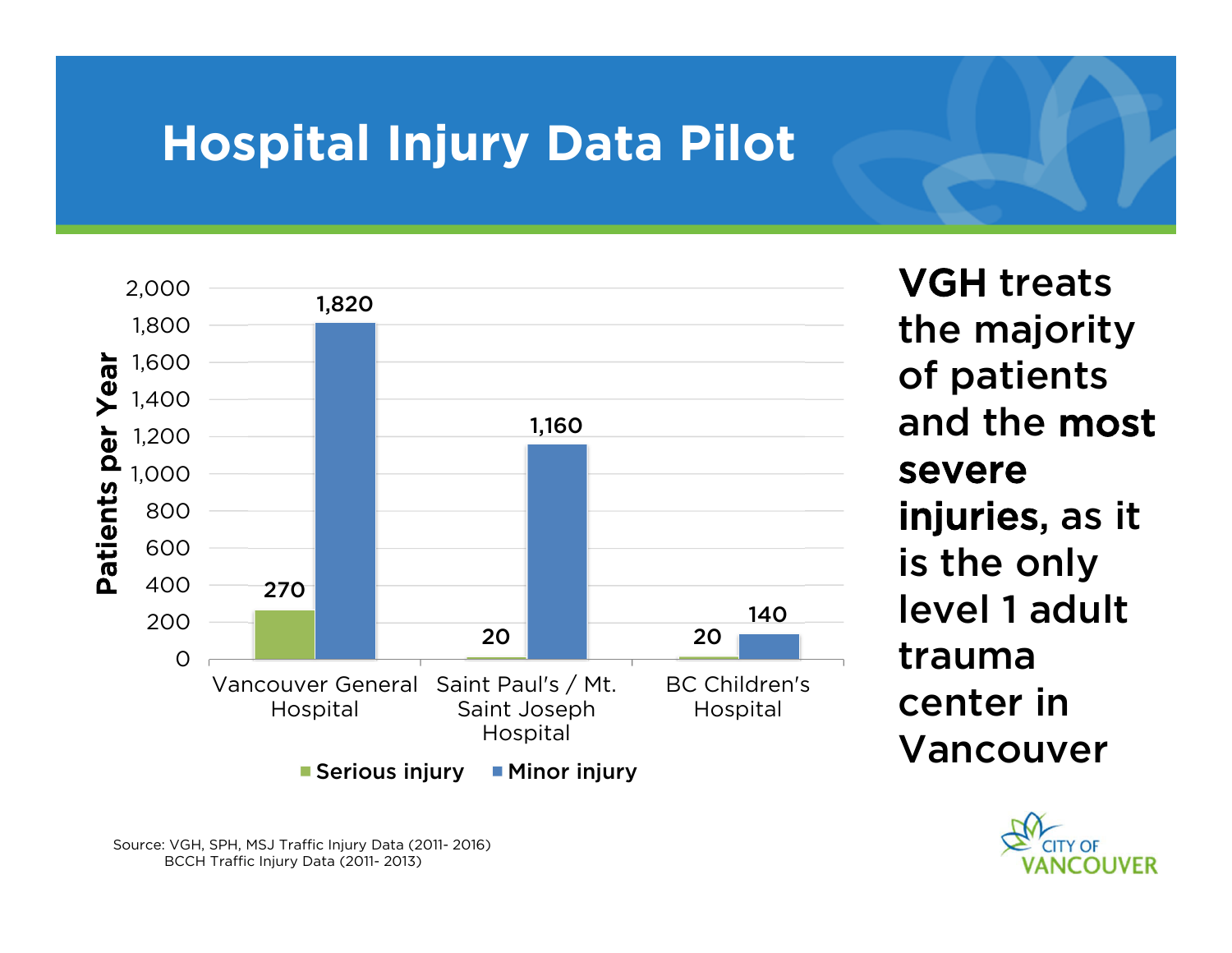## **Hospital Injury Data Pilot**



VGH treats the majority of patients and the most severe injuries, as it is the only level 1 adult trauma center in Vancouver



Source: VGH, SPH, MSJ Traffic Injury Data (2011- 2016) BCCH Traffic Injury Data (2011- 2013)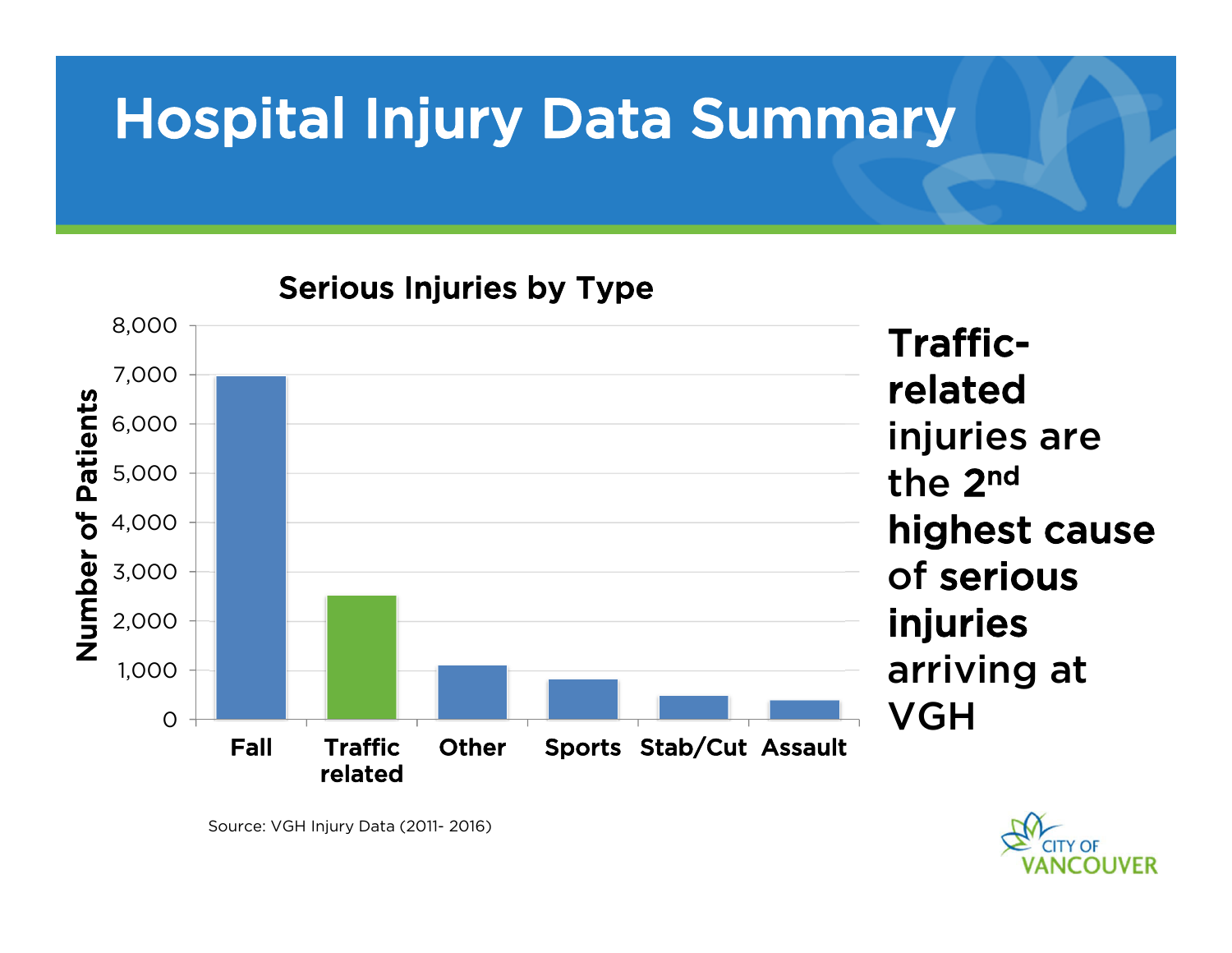

Serious Injuries by Type



Source: VGH Injury Data (2011- 2016)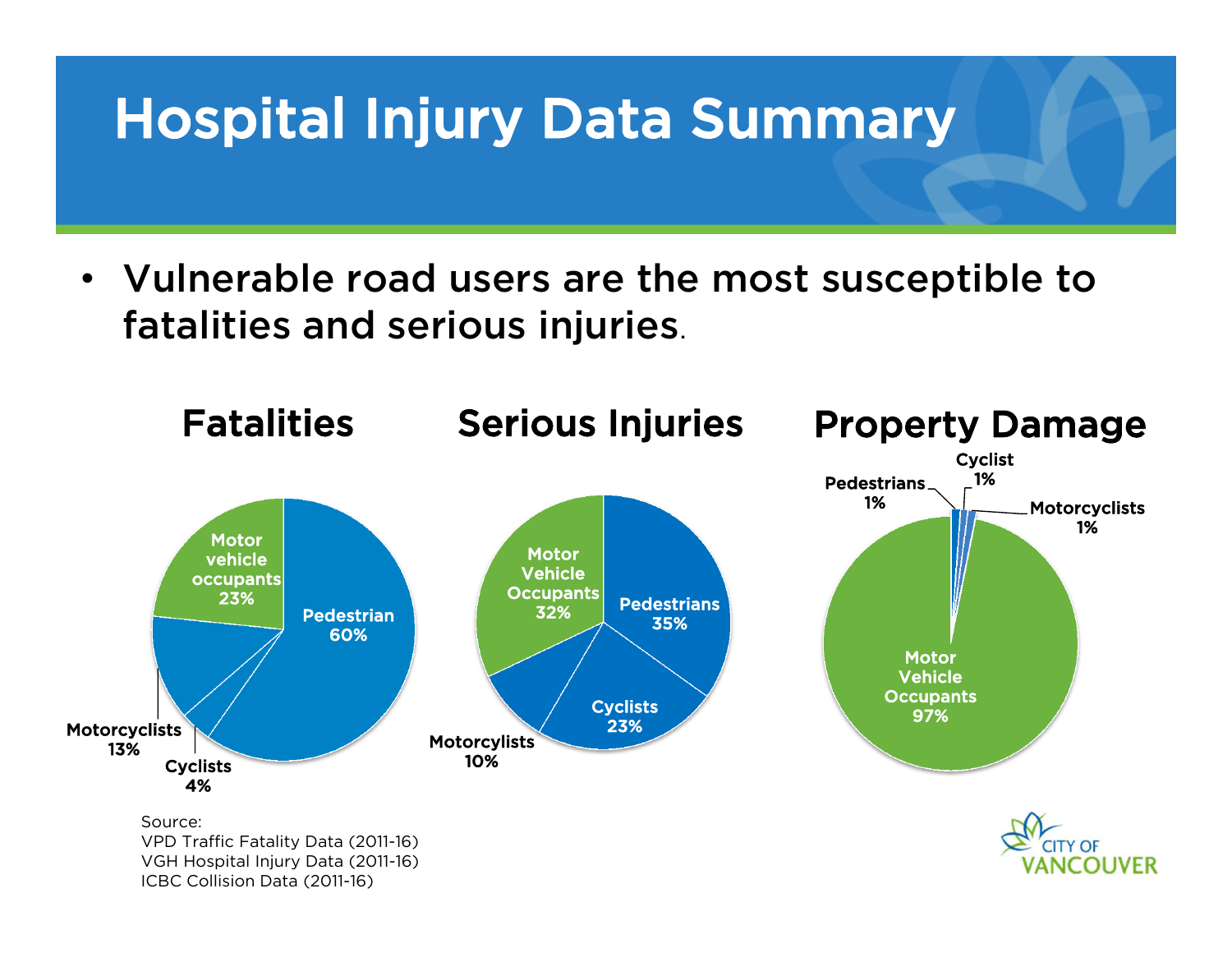• Vulnerable road users are the most susceptible to fatalities and serious injuries.

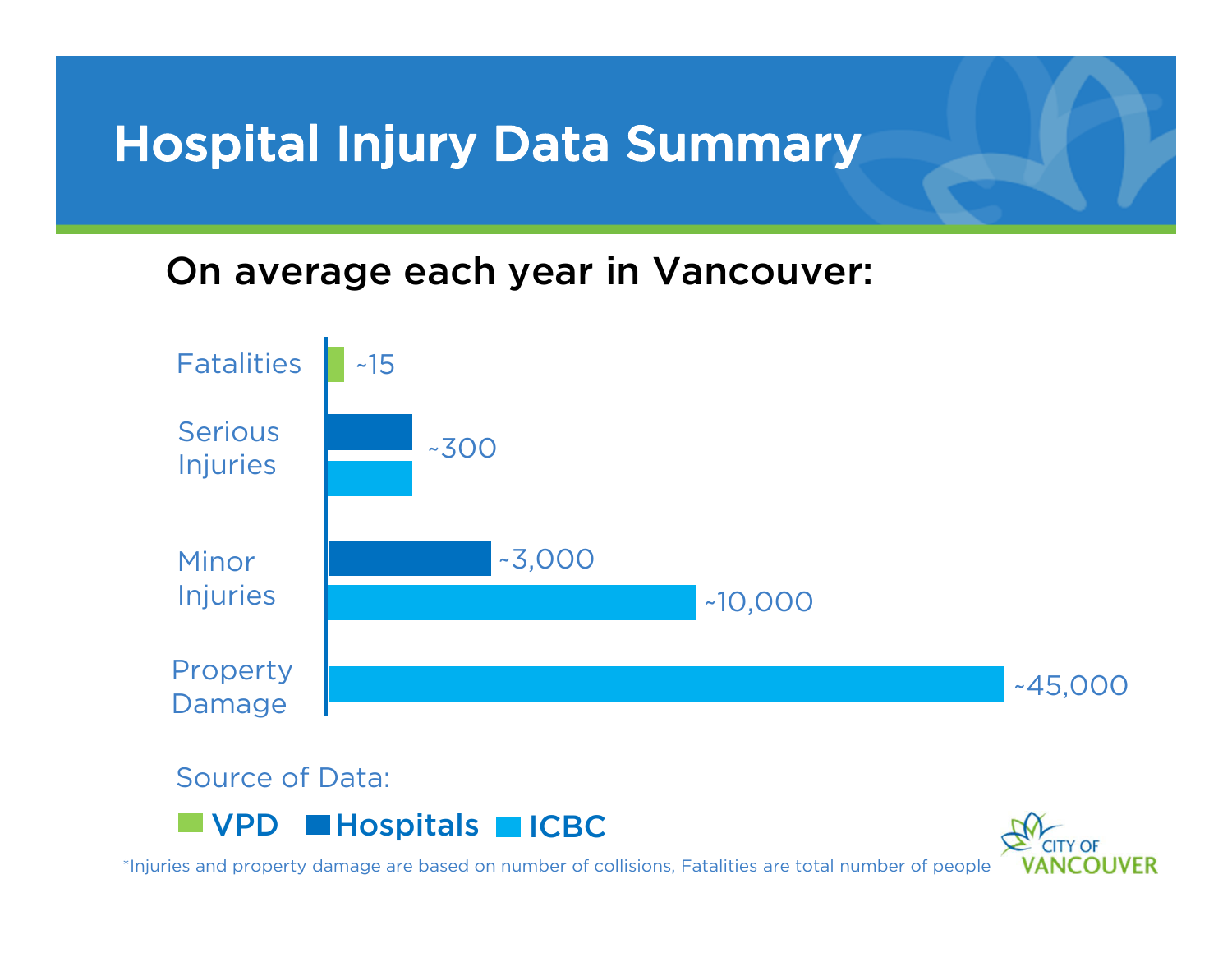#### On average each year in Vancouver:



Source of Data:





\*Injuries and property damage are based on number of collisions, Fatalities are total number of people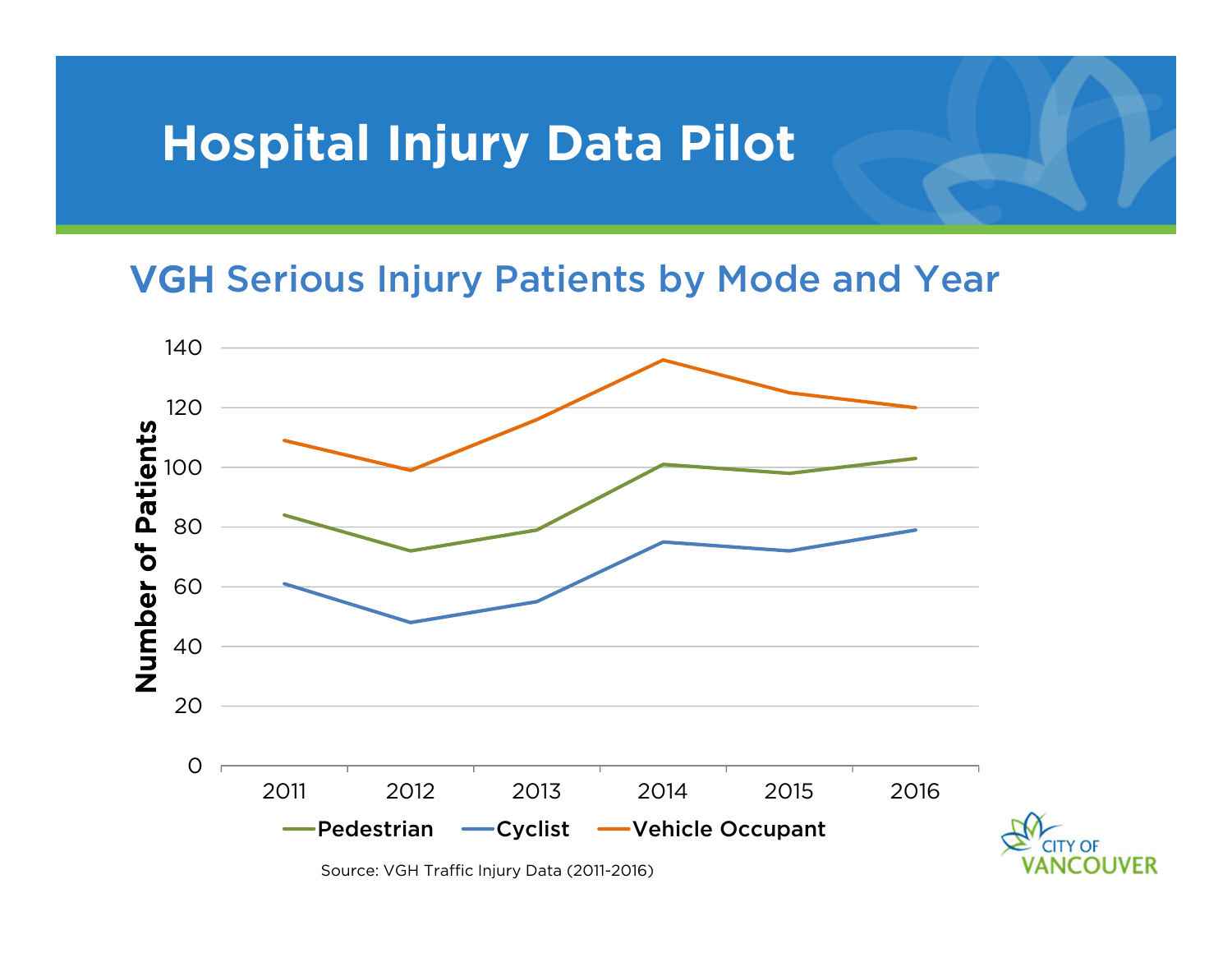## **Hospital Injury Data Pilot**

#### VGH Serious Injury Patients by Mode and Year



Source: VGH Traffic Injury Data (2011-2016)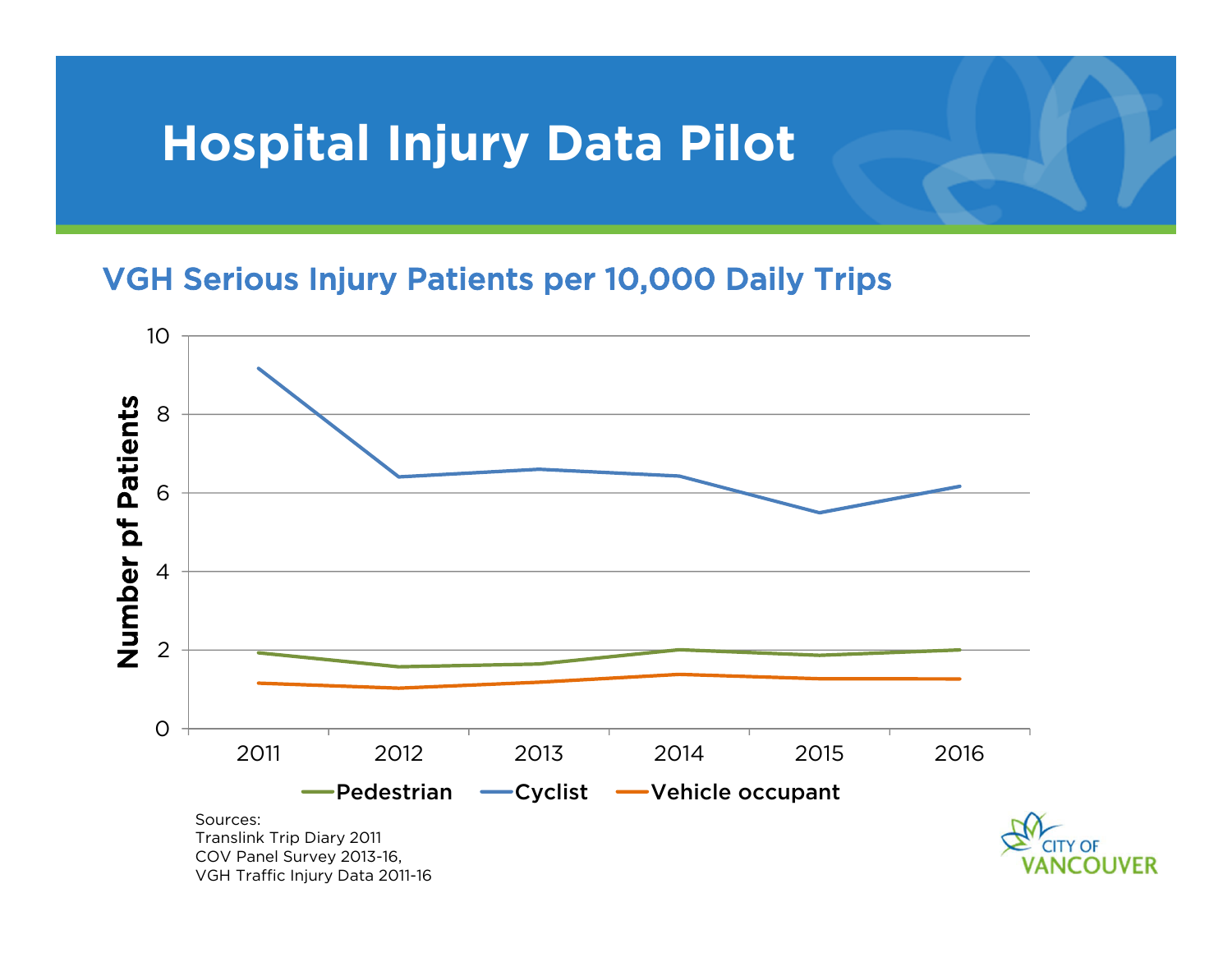## **Hospital Injury Data Pilot**

#### VGH Serious Injury Patients per 10,000 Daily Trips

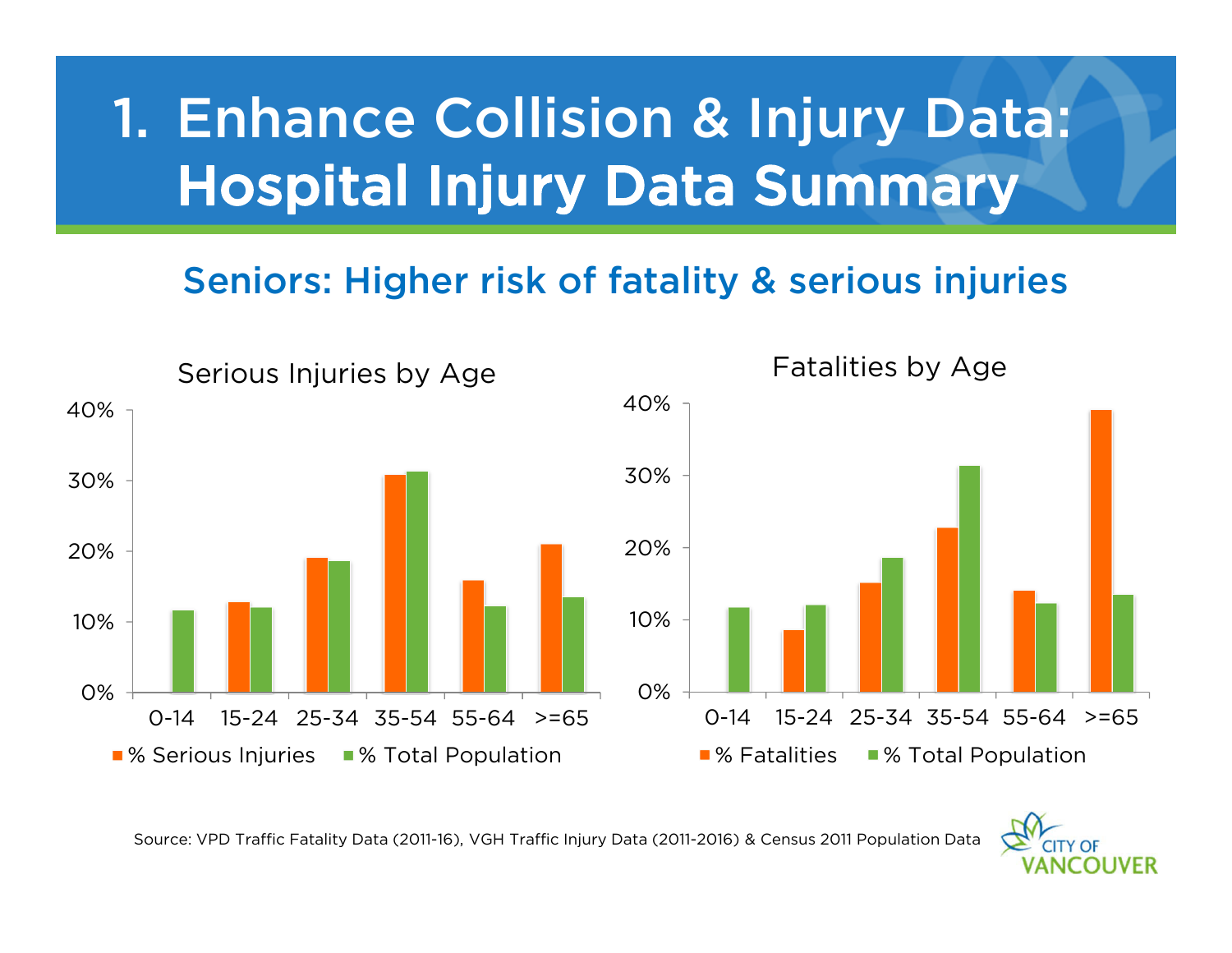# 1. Enhance Collision & Injury Data: Hospital Injury Data Summary

#### Seniors: Higher risk of fatality & serious injuries



Source: VPD Traffic Fatality Data (2011-16), VGH Traffic Injury Data (2011-2016) & Census 2011 Population Data

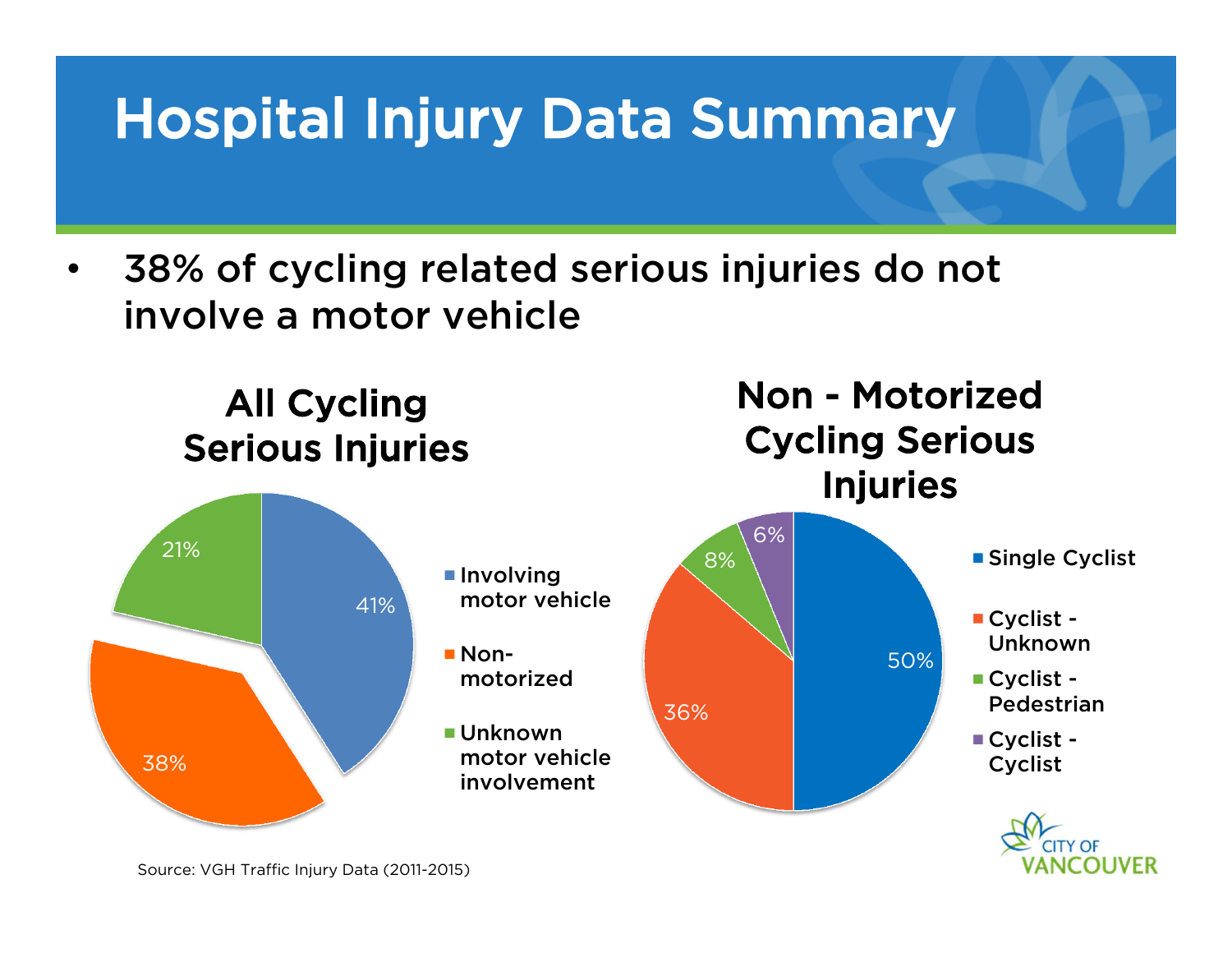• 38% of cycling related serious injuries do not involve a motor vehicle